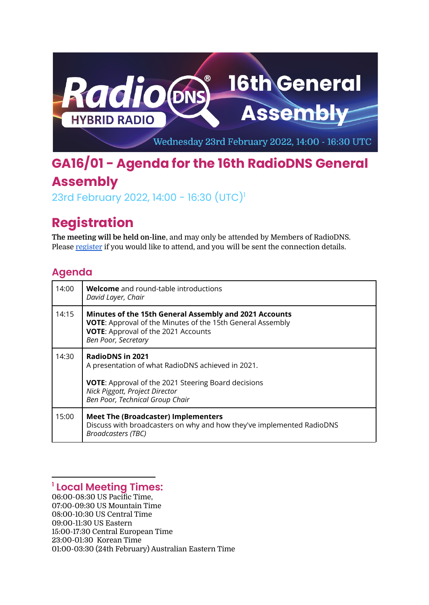

## **GA16/01 - Agenda for the 16th RadioDNS General Assembly**

23rd February 2022, 14:00 - 16:30 (UTC) 1

## **Registration**

**The meeting will be held on-line**, and may only be attended by Members of RadioDNS. Please [register](https://docs.google.com/forms/d/e/1FAIpQLScpZM4gYmDqz_fKq5SQvt16O51LPcMNYQ-_ijX9Eym5YZRgFQ/viewform) if you would like to attend, and you will be sent the connection details.

## **Agenda**

| 14:00 | <b>Welcome</b> and round-table introductions<br>David Layer, Chair                                                                                                                                              |
|-------|-----------------------------------------------------------------------------------------------------------------------------------------------------------------------------------------------------------------|
| 14:15 | Minutes of the 15th General Assembly and 2021 Accounts<br><b>VOTE:</b> Approval of the Minutes of the 15th General Assembly<br>VOTE: Approval of the 2021 Accounts<br>Ben Poor, Secretary                       |
| 14:30 | <b>RadioDNS in 2021</b><br>A presentation of what RadioDNS achieved in 2021.<br><b>VOTE:</b> Approval of the 2021 Steering Board decisions<br>Nick Piggott, Project Director<br>Ben Poor, Technical Group Chair |
| 15:00 | <b>Meet The (Broadcaster) Implementers</b><br>Discuss with broadcasters on why and how they've implemented RadioDNS<br><b>Broadcasters (TBC)</b>                                                                |

## **<sup>1</sup> Local Meeting Times:**

06:00-08:30 US Pacific Time, 07:00-09:30 US Mountain Time 08:00-10:30 US Central Time 09:00-11:30 US Eastern 15:00-17:30 Central European Time 23:00-01:30 Korean Time 01:00-03:30 (24th February) Australian Eastern Time